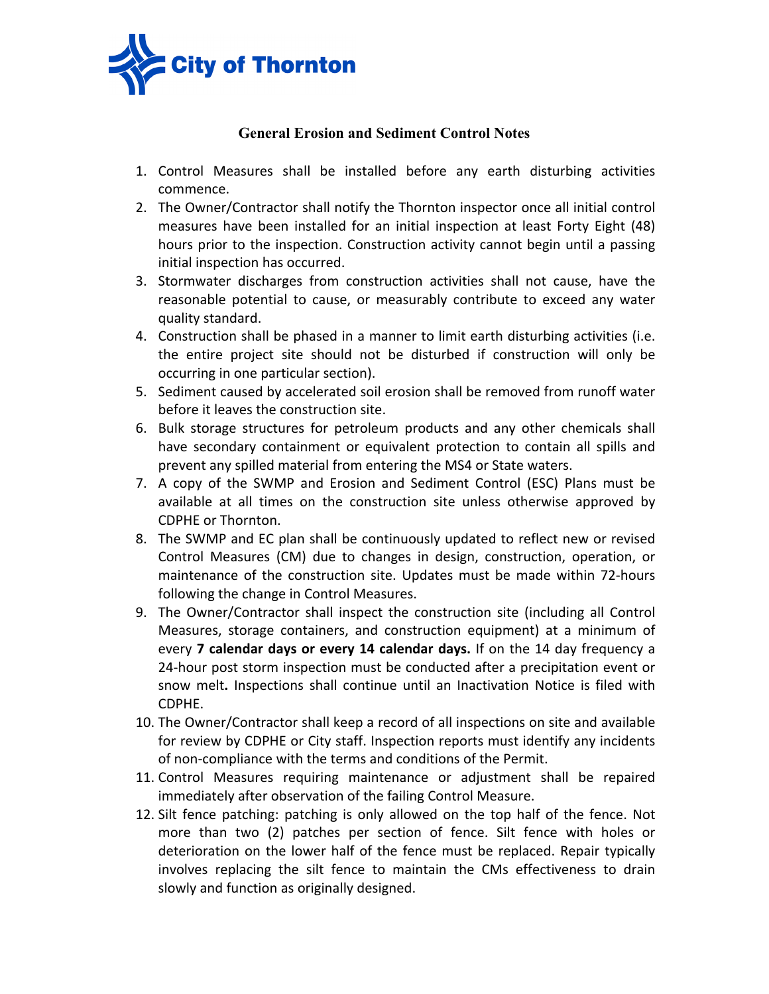

## **General Erosion and Sediment Control Notes**

- 1. Control Measures shall be installed before any earth disturbing activities commence.
- 2. The Owner/Contractor shall notify the Thornton inspector once all initial control measures have been installed for an initial inspection at least Forty Eight (48) hours prior to the inspection. Construction activity cannot begin until a passing initial inspection has occurred.
- 3. Stormwater discharges from construction activities shall not cause, have the reasonable potential to cause, or measurably contribute to exceed any water quality standard.
- 4. Construction shall be phased in a manner to limit earth disturbing activities (i.e. the entire project site should not be disturbed if construction will only be occurring in one particular section).
- 5. Sediment caused by accelerated soil erosion shall be removed from runoff water before it leaves the construction site.
- 6. Bulk storage structures for petroleum products and any other chemicals shall have secondary containment or equivalent protection to contain all spills and prevent any spilled material from entering the MS4 or State waters.
- 7. A copy of the SWMP and Erosion and Sediment Control (ESC) Plans must be available at all times on the construction site unless otherwise approved by CDPHE or Thornton.
- 8. The SWMP and EC plan shall be continuously updated to reflect new or revised Control Measures (CM) due to changes in design, construction, operation, or maintenance of the construction site. Updates must be made within 72-hours following the change in Control Measures.
- 9. The Owner/Contractor shall inspect the construction site (including all Control Measures, storage containers, and construction equipment) at a minimum of every **7 calendar days or every 14 calendar days.** If on the 14 day frequency a 24-hour post storm inspection must be conducted after a precipitation event or snow melt**.** Inspections shall continue until an Inactivation Notice is filed with CDPHE.
- 10. The Owner/Contractor shall keep a record of all inspections on site and available for review by CDPHE or City staff. Inspection reports must identify any incidents of non-compliance with the terms and conditions of the Permit.
- 11. Control Measures requiring maintenance or adjustment shall be repaired immediately after observation of the failing Control Measure.
- 12. Silt fence patching: patching is only allowed on the top half of the fence. Not more than two (2) patches per section of fence. Silt fence with holes or deterioration on the lower half of the fence must be replaced. Repair typically involves replacing the silt fence to maintain the CMs effectiveness to drain slowly and function as originally designed.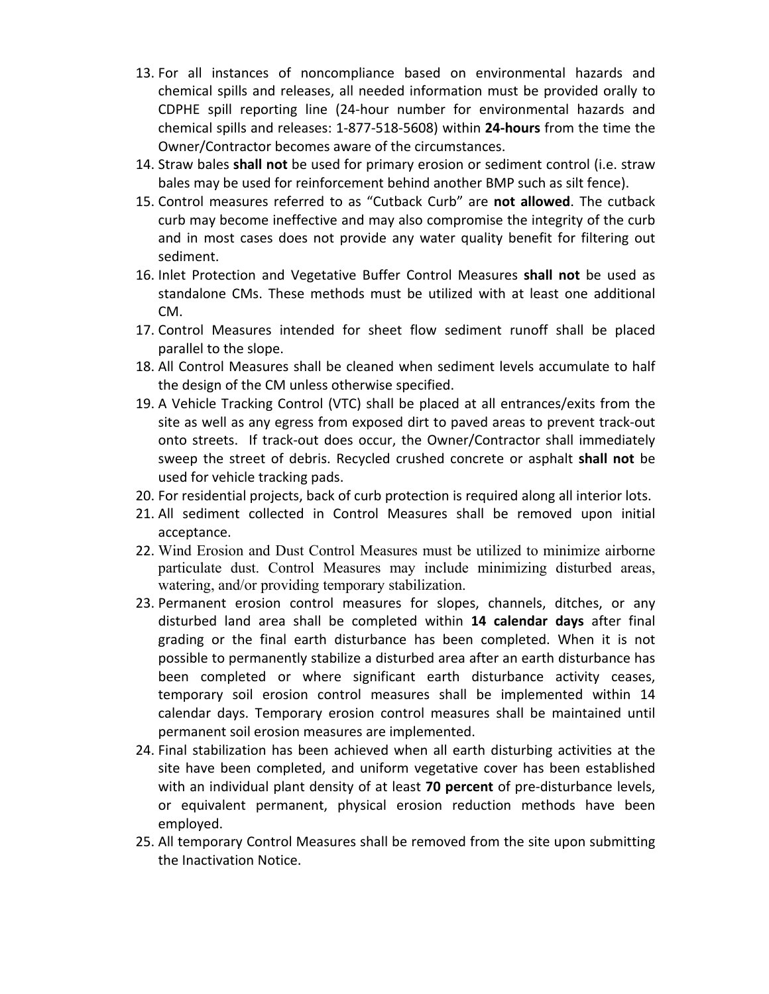- 13. For all instances of noncompliance based on environmental hazards and chemical spills and releases, all needed information must be provided orally to CDPHE spill reporting line (24-hour number for environmental hazards and chemical spills and releases: 1-877-518-5608) within **24-hours** from the time the Owner/Contractor becomes aware of the circumstances.
- 14. Straw bales **shall not** be used for primary erosion or sediment control (i.e. straw bales may be used for reinforcement behind another BMP such as silt fence).
- 15. Control measures referred to as "Cutback Curb" are **not allowed**. The cutback curb may become ineffective and may also compromise the integrity of the curb and in most cases does not provide any water quality benefit for filtering out sediment.
- 16. Inlet Protection and Vegetative Buffer Control Measures **shall not** be used as standalone CMs. These methods must be utilized with at least one additional CM.
- 17. Control Measures intended for sheet flow sediment runoff shall be placed parallel to the slope.
- 18. All Control Measures shall be cleaned when sediment levels accumulate to half the design of the CM unless otherwise specified.
- 19. A Vehicle Tracking Control (VTC) shall be placed at all entrances/exits from the site as well as any egress from exposed dirt to paved areas to prevent track-out onto streets. If track-out does occur, the Owner/Contractor shall immediately sweep the street of debris. Recycled crushed concrete or asphalt **shall not** be used for vehicle tracking pads.
- 20. For residential projects, back of curb protection is required along all interior lots.
- 21. All sediment collected in Control Measures shall be removed upon initial acceptance.
- 22. Wind Erosion and Dust Control Measures must be utilized to minimize airborne particulate dust. Control Measures may include minimizing disturbed areas, watering, and/or providing temporary stabilization.
- 23. Permanent erosion control measures for slopes, channels, ditches, or any disturbed land area shall be completed within **14 calendar days** after final grading or the final earth disturbance has been completed. When it is not possible to permanently stabilize a disturbed area after an earth disturbance has been completed or where significant earth disturbance activity ceases, temporary soil erosion control measures shall be implemented within 14 calendar days. Temporary erosion control measures shall be maintained until permanent soil erosion measures are implemented.
- 24. Final stabilization has been achieved when all earth disturbing activities at the site have been completed, and uniform vegetative cover has been established with an individual plant density of at least **70 percent** of pre-disturbance levels, or equivalent permanent, physical erosion reduction methods have been employed.
- 25. All temporary Control Measures shall be removed from the site upon submitting the Inactivation Notice.